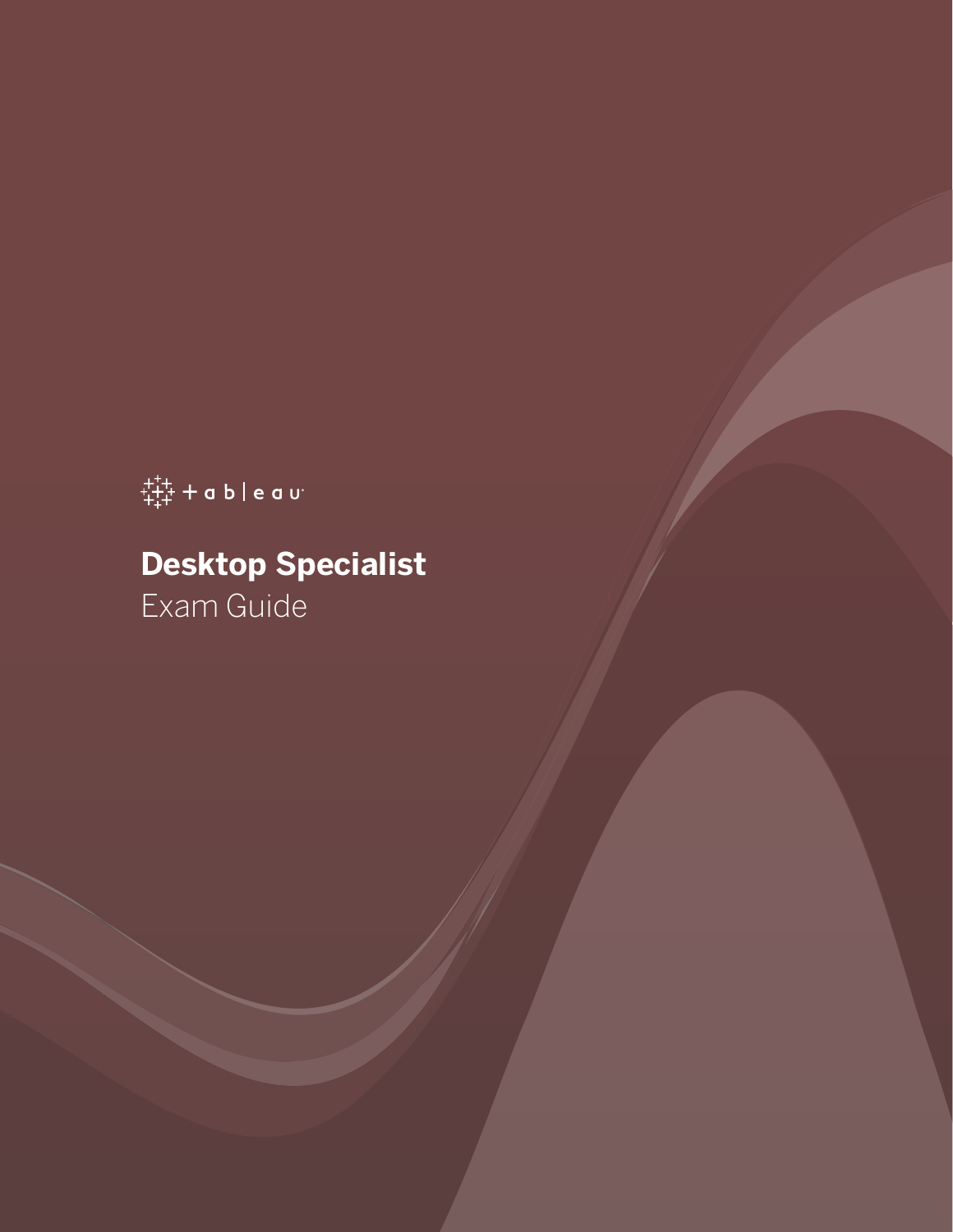$\ddot{t}_{t+1}^{++}$  + a b | e a u<sup>.</sup>

# **Desktop Specialist**

Exam Guide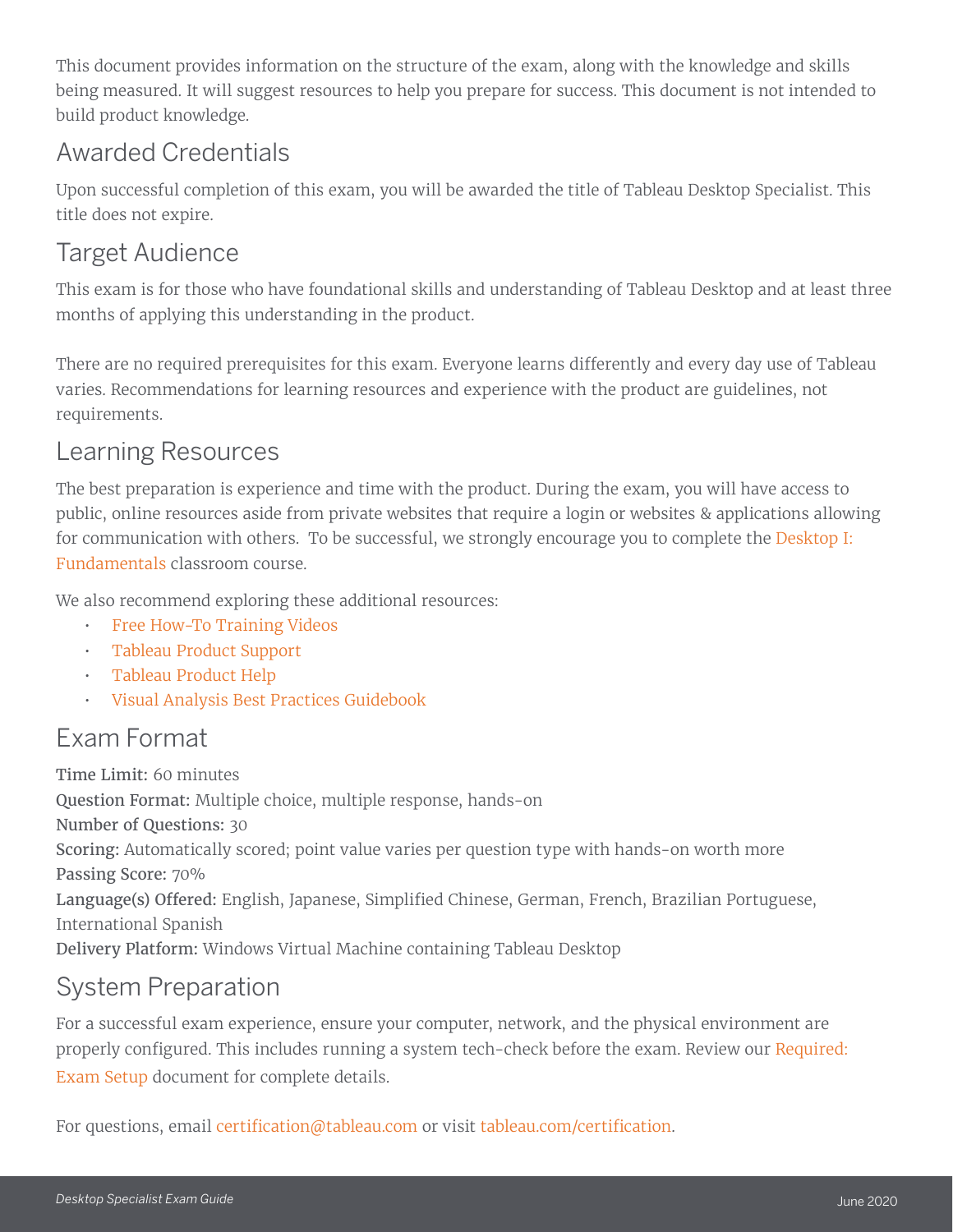This document provides information on the structure of the exam, along with the knowledge and skills being measured. It will suggest resources to help you prepare for success. This document is not intended to build product knowledge.

### Awarded Credentials

Upon successful completion of this exam, you will be awarded the title of Tableau Desktop Specialist. This title does not expire.

### Target Audience

This exam is for those who have foundational skills and understanding of Tableau Desktop and at least three months of applying this understanding in the product.

There are no required prerequisites for this exam. Everyone learns differently and every day use of Tableau varies. Recommendations for learning resources and experience with the product are guidelines, not requirements.

### Learning Resources

The best preparation is experience and time with the product. During the exam, you will have access to public, online resources aside from private websites that require a login or websites & applications allowing for communication with others. To be successful, we strongly encourage you to complete the [Desktop I:](https://www.tableau.com/learn/classroom/desktop-one)  [Fundamentals](https://www.tableau.com/learn/classroom/desktop-one) classroom course.

We also recommend exploring these additional resources:

- [Free How-To Training Videos](http://www.tableau.com/learn/training)
- [Tableau Product Support](https://www.tableau.com/support/product)
- [Tableau Product Help](https://www.tableau.com/support/help)
- [Visual Analysis Best Practices Guidebook](https://www.tableau.com/learn/whitepapers/tableau-visual-guidebook?signin=c6cf87638b3864d1c393ffafb79ae10c)

## Exam Format

Time Limit: 60 minutes Question Format: Multiple choice, multiple response, hands-on Number of Questions: 30 Scoring: Automatically scored; point value varies per question type with hands-on worth more Passing Score: 70% Language(s) Offered: English, Japanese, Simplified Chinese, German, French, Brazilian Portuguese, International Spanish Delivery Platform: Windows Virtual Machine containing Tableau Desktop

### System Preparation

For a successful exam experience, ensure your computer, network, and the physical environment are properly configured. This includes running a system tech-check before the exam. Review our [Required:](http://mkt.tableau.com/files/Tableau-Certification-4-steps-to-exam-success.pdf)  [Exam Setup](http://mkt.tableau.com/files/Tableau-Certification-4-steps-to-exam-success.pdf) document for complete details.

For questions, email [certification@tableau.com](mailto:certification%40tableau.com?subject=Certification%20inquiry) or visit [tableau.com/certification](http://www.tableausoftware.com/certification).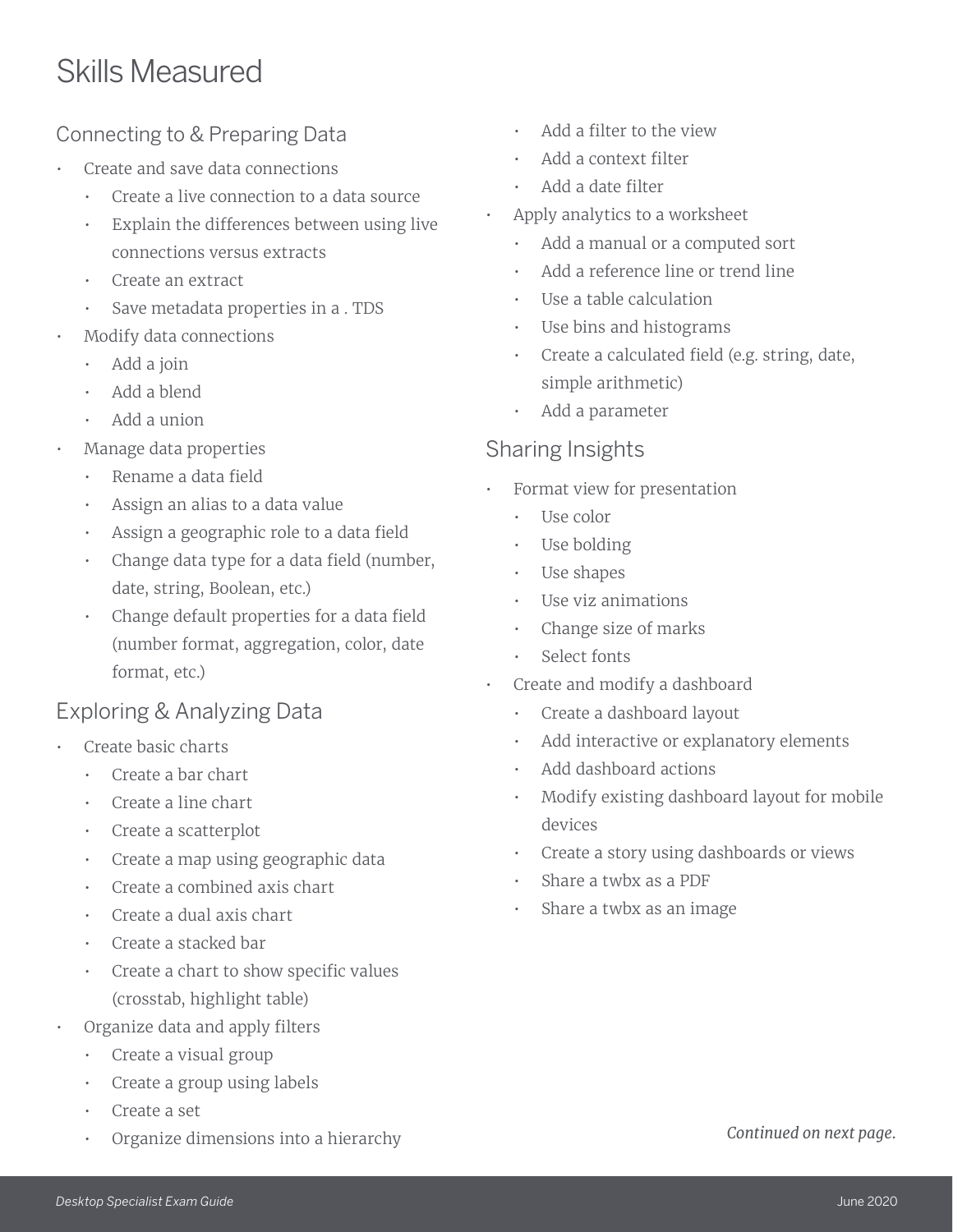# Skills Measured

#### Connecting to & Preparing Data

- Create and save data connections
	- Create a live connection to a data source
	- Explain the differences between using live connections versus extracts
	- Create an extract
	- Save metadata properties in a . TDS
- Modify data connections
	- Add a join
	- Add a blend
	- Add a union
- Manage data properties
	- Rename a data field
	- Assign an alias to a data value
	- Assign a geographic role to a data field
	- Change data type for a data field (number, date, string, Boolean, etc.)
	- Change default properties for a data field (number format, aggregation, color, date format, etc.)

#### Exploring & Analyzing Data

- Create basic charts
	- Create a bar chart
	- Create a line chart
	- Create a scatterplot
	- Create a map using geographic data
	- Create a combined axis chart
	- Create a dual axis chart
	- Create a stacked bar
	- Create a chart to show specific values (crosstab, highlight table)
- Organize data and apply filters
	- Create a visual group
	- Create a group using labels
	- Create a set
	- Organize dimensions into a hierarchy
- Add a filter to the view
- Add a context filter
- Add a date filter
- Apply analytics to a worksheet
	- Add a manual or a computed sort
	- Add a reference line or trend line
	- Use a table calculation
	- Use bins and histograms
	- Create a calculated field (e.g. string, date, simple arithmetic)
	- Add a parameter

#### Sharing Insights

- Format view for presentation
	- Use color
	- Use bolding
	- Use shapes
	- Use viz animations
	- Change size of marks
	- Select fonts
- Create and modify a dashboard
	- Create a dashboard layout
	- Add interactive or explanatory elements
	- Add dashboard actions
	- Modify existing dashboard layout for mobile devices
	- Create a story using dashboards or views
	- Share a twbx as a PDF
	- Share a twbx as an image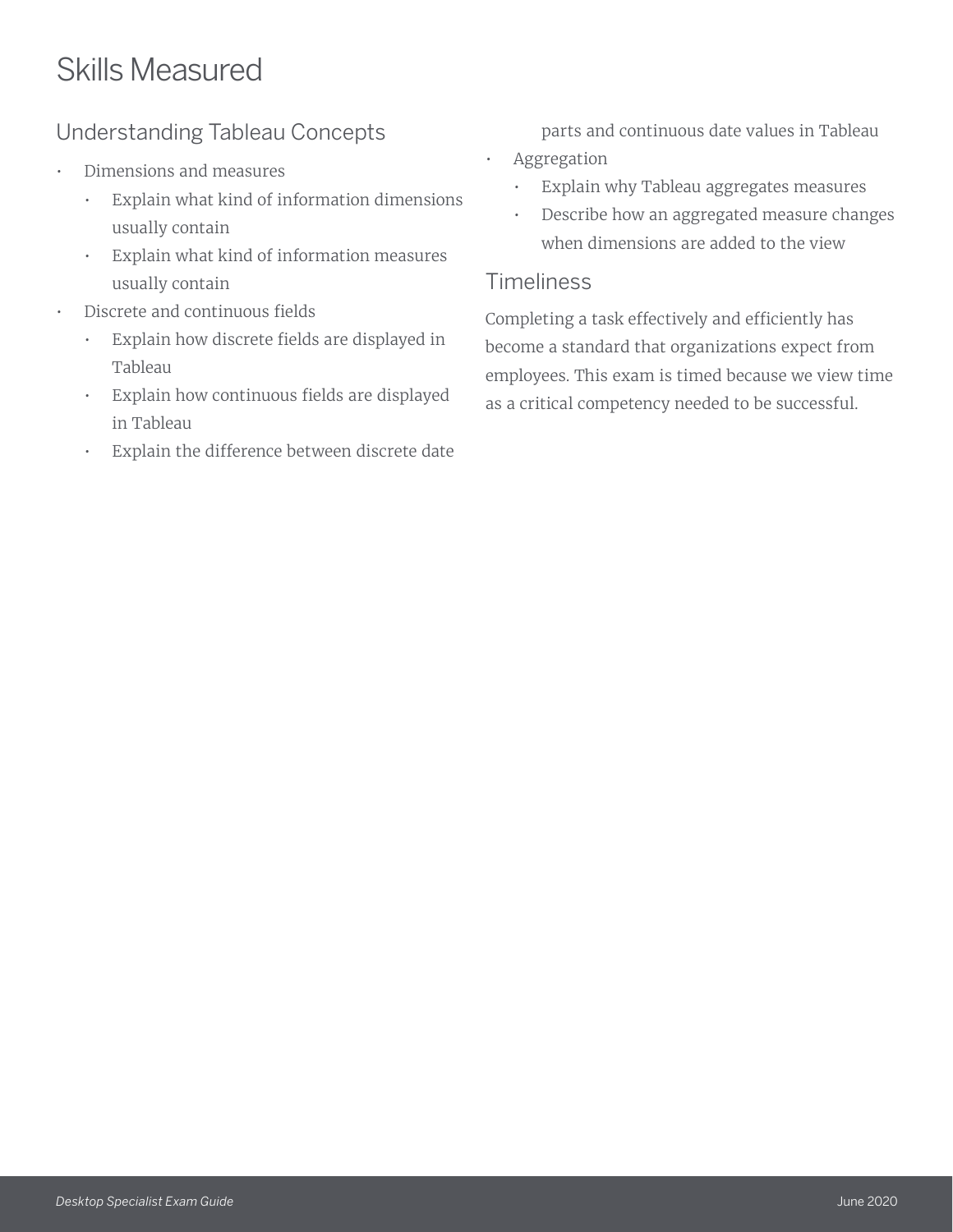# Skills Measured

#### Understanding Tableau Concepts

- Dimensions and measures
	- Explain what kind of information dimensions usually contain
	- Explain what kind of information measures usually contain
- Discrete and continuous fields
	- Explain how discrete fields are displayed in Tableau
	- Explain how continuous fields are displayed in Tableau
	- Explain the difference between discrete date

parts and continuous date values in Tableau

- Aggregation
	- Explain why Tableau aggregates measures
	- Describe how an aggregated measure changes when dimensions are added to the view

#### **Timeliness**

Completing a task effectively and efficiently has become a standard that organizations expect from employees. This exam is timed because we view time as a critical competency needed to be successful.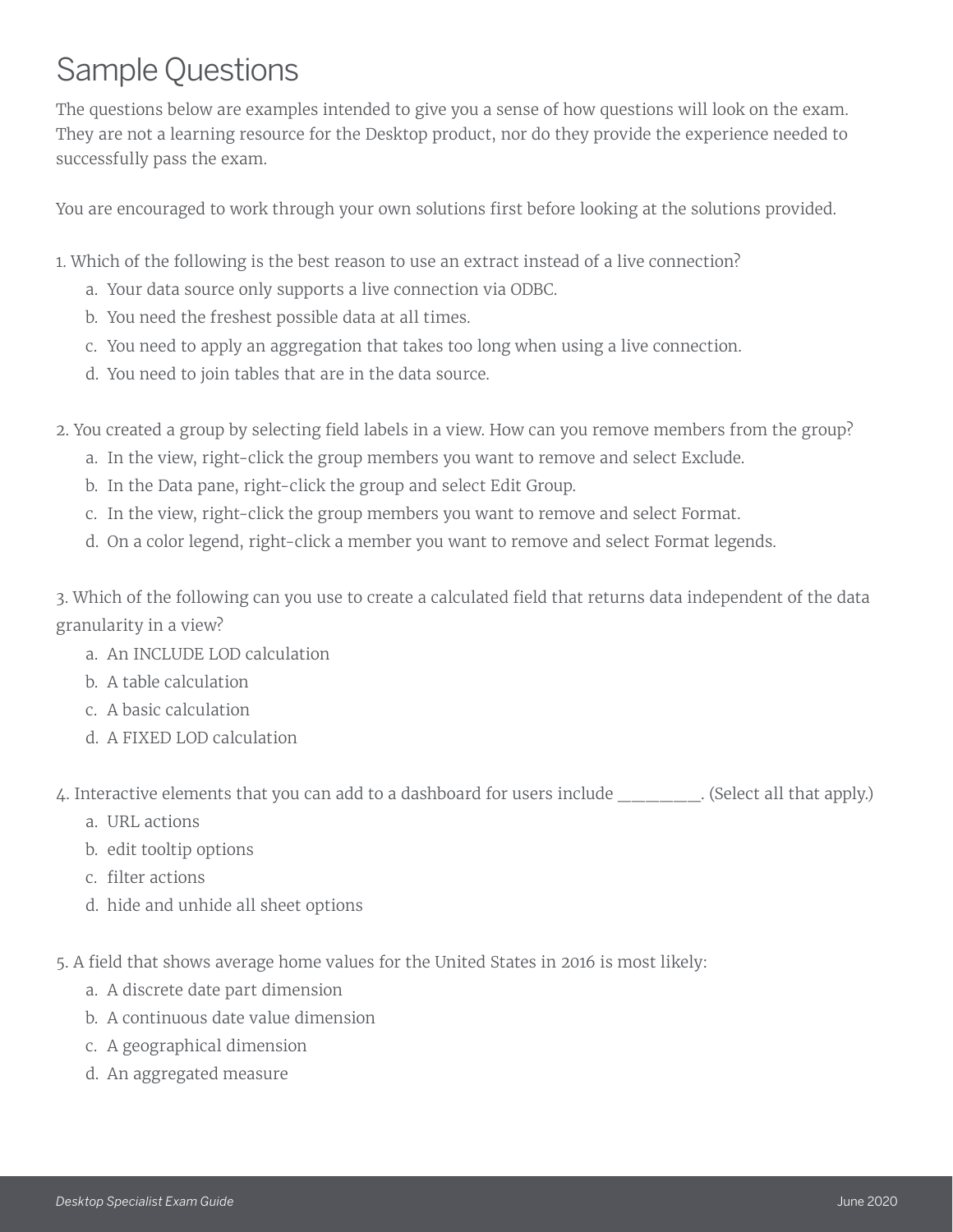# Sample Questions

The questions below are examples intended to give you a sense of how questions will look on the exam. They are not a learning resource for the Desktop product, nor do they provide the experience needed to successfully pass the exam.

You are encouraged to work through your own solutions first before looking at the solutions provided.

1. Which of the following is the best reason to use an extract instead of a live connection?

- a. Your data source only supports a live connection via ODBC.
- b. You need the freshest possible data at all times.
- c. You need to apply an aggregation that takes too long when using a live connection.
- d. You need to join tables that are in the data source.

2. You created a group by selecting field labels in a view. How can you remove members from the group?

- a. In the view, right-click the group members you want to remove and select Exclude.
- b. In the Data pane, right-click the group and select Edit Group.
- c. In the view, right-click the group members you want to remove and select Format.
- d. On a color legend, right-click a member you want to remove and select Format legends.

3. Which of the following can you use to create a calculated field that returns data independent of the data granularity in a view?

- a. An INCLUDE LOD calculation
- b. A table calculation
- c. A basic calculation
- d. A FIXED LOD calculation

4. Interactive elements that you can add to a dashboard for users include (Select all that apply.)

- a. URL actions
- b. edit tooltip options
- c. filter actions
- d. hide and unhide all sheet options

5. A field that shows average home values for the United States in 2016 is most likely:

- a. A discrete date part dimension
- b. A continuous date value dimension
- c. A geographical dimension
- d. An aggregated measure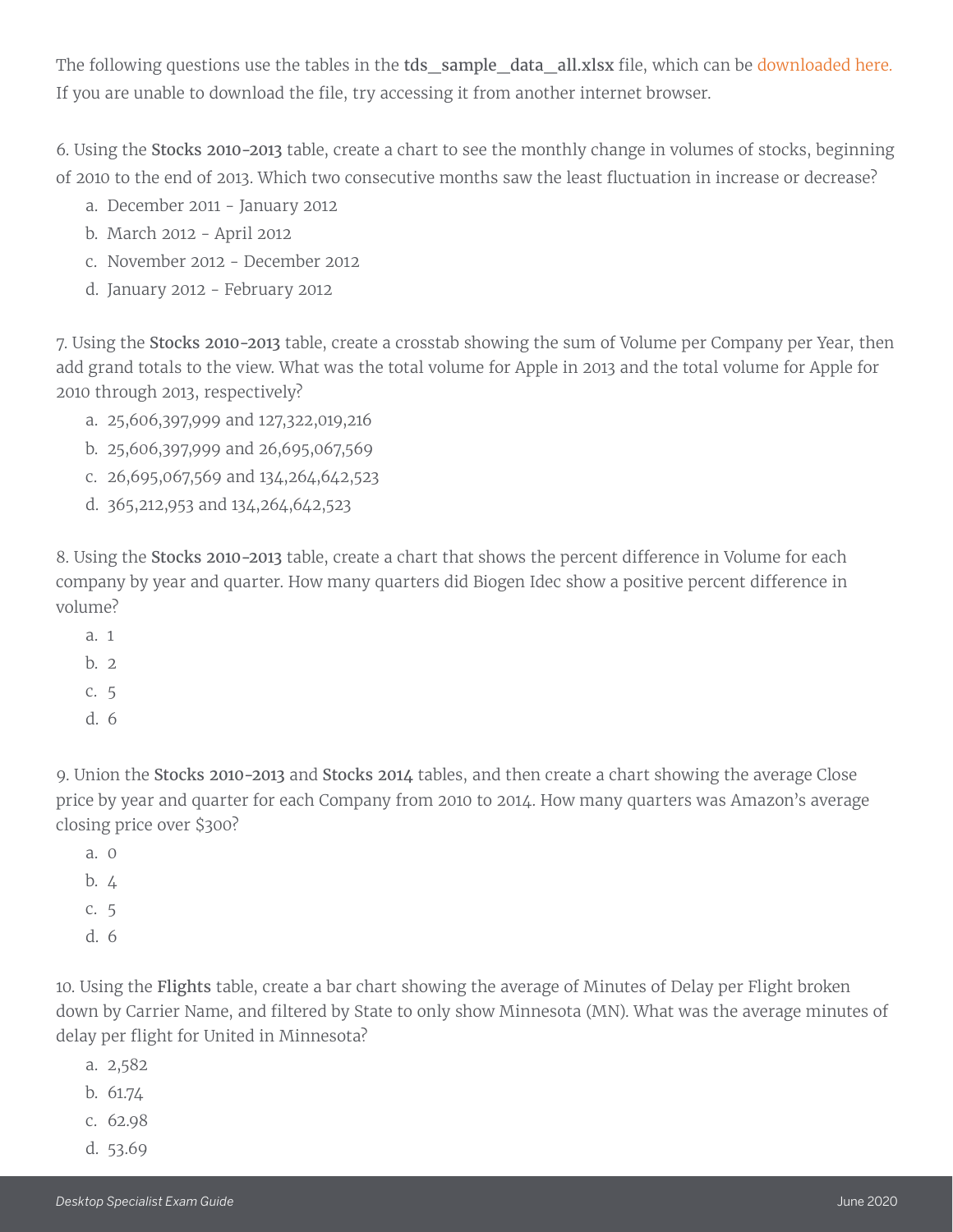The following questions use the tables in the tds\_sample\_data\_all.xlsx file, which can be [downloaded here](https://www.tableau.com/sites/default/files/pages/tds_sample_data_all.xlsx). If you are unable to download the file, try accessing it from another internet browser.

6. Using the Stocks 2010-2013 table, create a chart to see the monthly change in volumes of stocks, beginning of 2010 to the end of 2013. Which two consecutive months saw the least fluctuation in increase or decrease?

- a. December 2011 January 2012
- b. March 2012 April 2012
- c. November 2012 December 2012
- d. January 2012 February 2012

7. Using the Stocks 2010-2013 table, create a crosstab showing the sum of Volume per Company per Year, then add grand totals to the view. What was the total volume for Apple in 2013 and the total volume for Apple for 2010 through 2013, respectively?

- a. 25,606,397,999 and 127,322,019,216
- b. 25,606,397,999 and 26,695,067,569
- c. 26,695,067,569 and 134,264,642,523
- d. 365,212,953 and 134,264,642,523

8. Using the Stocks 2010-2013 table, create a chart that shows the percent difference in Volume for each company by year and quarter. How many quarters did Biogen Idec show a positive percent difference in volume?

- a. 1  $h<sub>2</sub>$ c. 5
- 
- d. 6

9. Union the Stocks 2010-2013 and Stocks 2014 tables, and then create a chart showing the average Close price by year and quarter for each Company from 2010 to 2014. How many quarters was Amazon's average closing price over \$300?

a. 0 b. 4 c. 5 d. 6

10. Using the Flights table, create a bar chart showing the average of Minutes of Delay per Flight broken down by Carrier Name, and filtered by State to only show Minnesota (MN). What was the average minutes of delay per flight for United in Minnesota?

- a. 2,582
- b. 61.74
- c. 62.98
- d. 53.69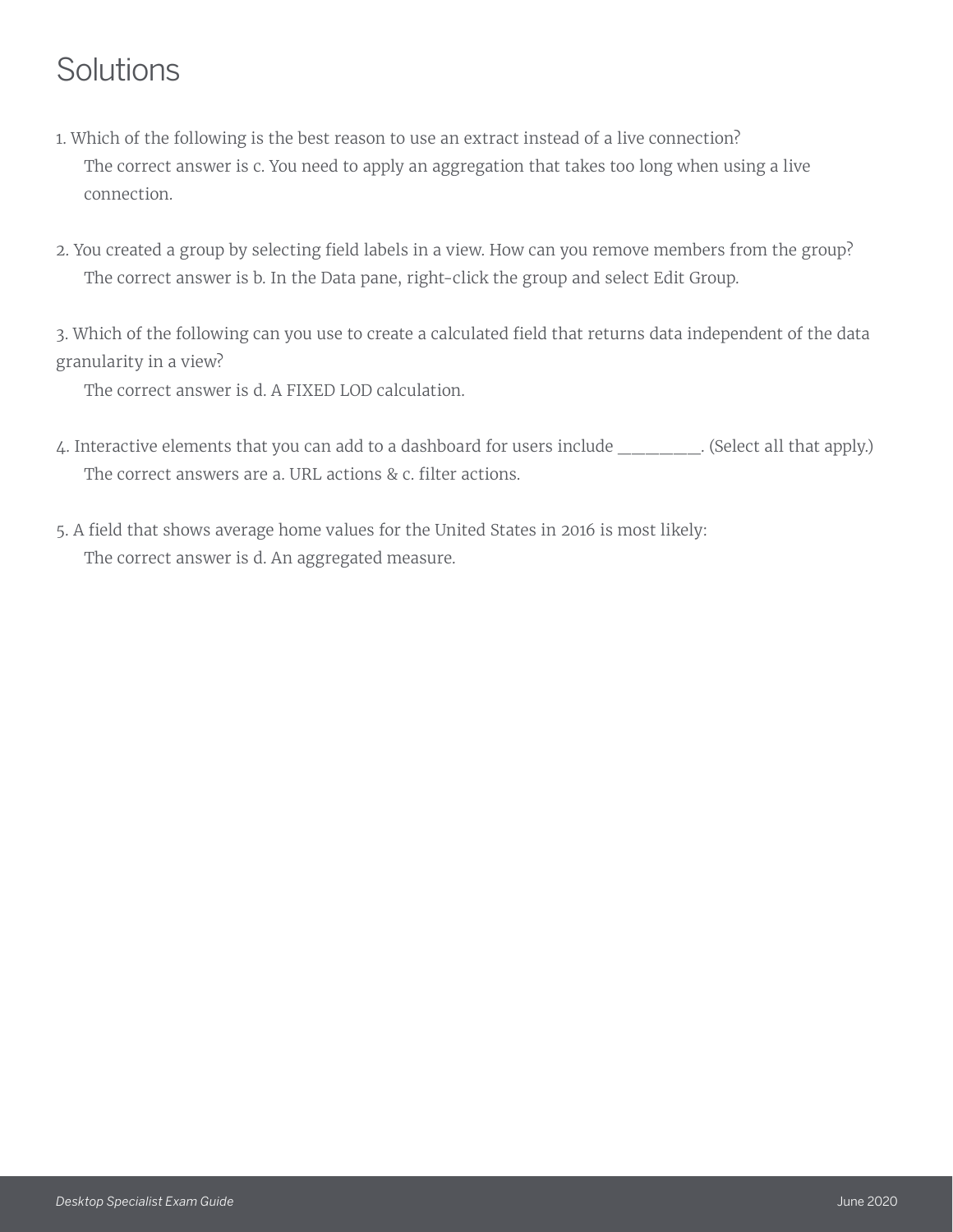# Solutions

- 1. Which of the following is the best reason to use an extract instead of a live connection? The correct answer is c. You need to apply an aggregation that takes too long when using a live connection.
- 2. You created a group by selecting field labels in a view. How can you remove members from the group? The correct answer is b. In the Data pane, right-click the group and select Edit Group.

3. Which of the following can you use to create a calculated field that returns data independent of the data granularity in a view?

The correct answer is d. A FIXED LOD calculation.

- 4. Interactive elements that you can add to a dashboard for users include (Select all that apply.) The correct answers are a. URL actions & c. filter actions.
- 5. A field that shows average home values for the United States in 2016 is most likely: The correct answer is d. An aggregated measure.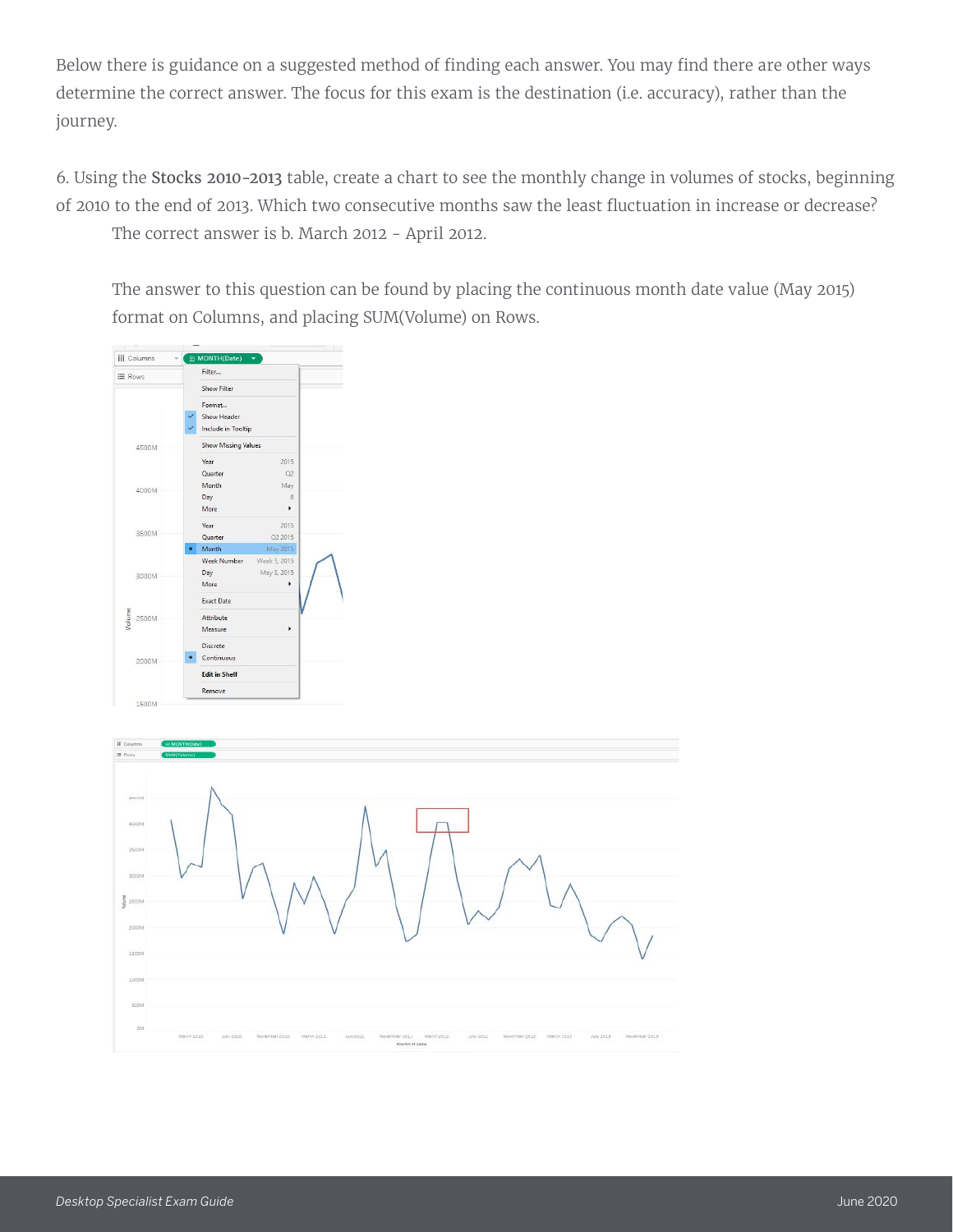Below there is guidance on a suggested method of finding each answer. You may find there are other ways determine the correct answer. The focus for this exam is the destination (i.e. accuracy), rather than the journey.

6. Using the Stocks 2010-2013 table, create a chart to see the monthly change in volumes of stocks, beginning of 2010 to the end of 2013. Which two consecutive months saw the least fluctuation in increase or decrease? The correct answer is b. March 2012 - April 2012.

The answer to this question can be found by placing the continuous month date value (May 2015) format on Columns, and placing SUM(Volume) on Rows.



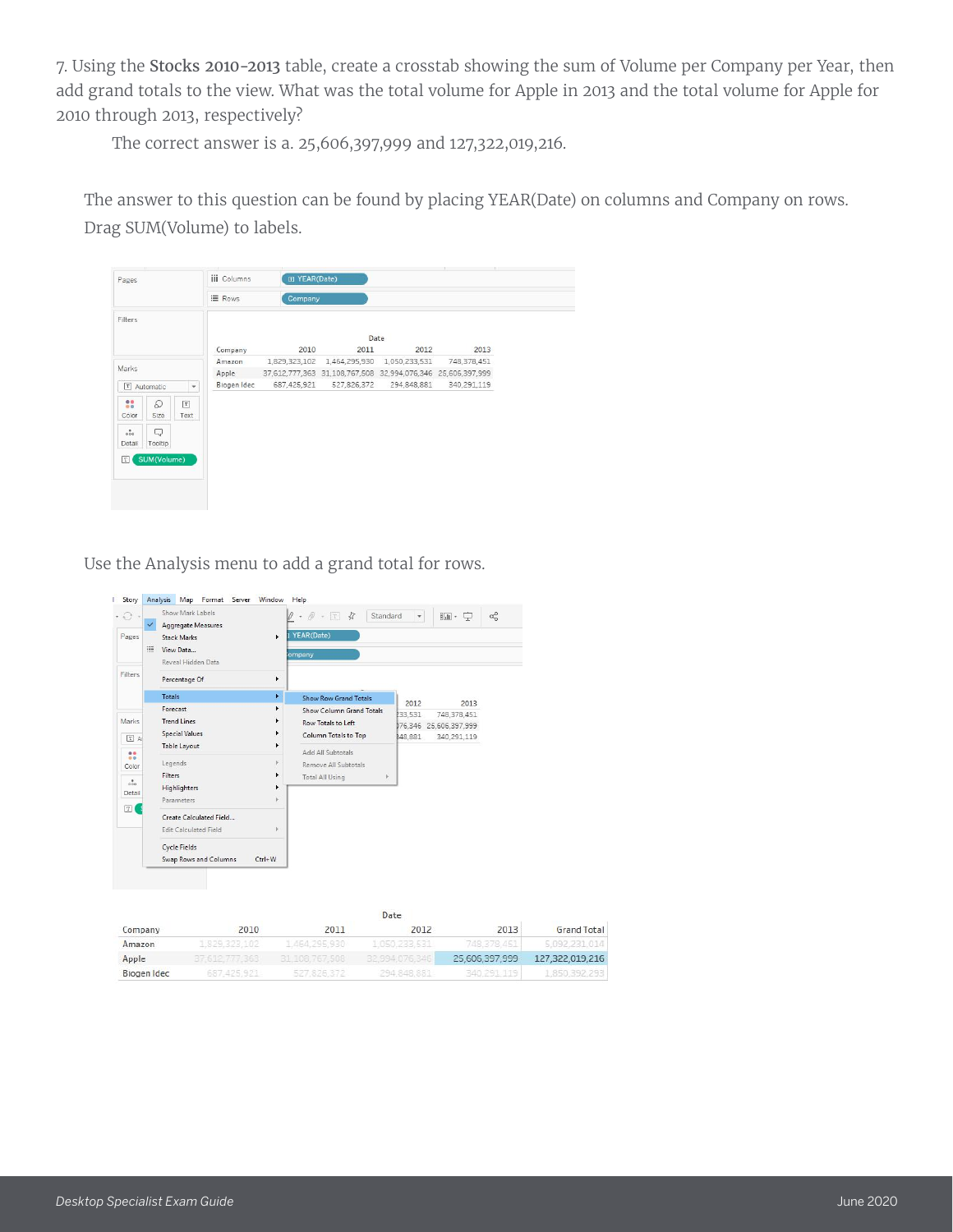7. Using the Stocks 2010-2013 table, create a crosstab showing the sum of Volume per Company per Year, then add grand totals to the view. What was the total volume for Apple in 2013 and the total volume for Apple for 2010 through 2013, respectively?

The correct answer is a. 25,606,397,999 and 127,322,019,216.

The answer to this question can be found by placing YEAR(Date) on columns and Company on rows. Drag SUM(Volume) to labels.

| Pages                                 |                              | <b>iii</b> Columns | F YEAR(Date) |                                                             |      |             |
|---------------------------------------|------------------------------|--------------------|--------------|-------------------------------------------------------------|------|-------------|
|                                       |                              | E Rows             | Company      |                                                             |      |             |
| Filters                               |                              |                    |              |                                                             | Date |             |
|                                       |                              | Company            | 2010         | 2011                                                        | 2012 | 2013        |
| Marks                                 |                              | Amazon             |              | 1,829,323,102 1,464,295,930 1,050,233,531                   |      | 748,378,451 |
|                                       |                              | Apple              |              | 37,612,777,363 31,108,767,508 32,994,076,346 25,606,397,999 |      |             |
| T Automatic                           | $\overline{\phantom{a}}$     | Biogen Idec        |              | 687,425,921   527,826,372   294,848,881                     |      | 340,291,119 |
| $\frac{99}{99}$<br>Q<br>Size<br>Color | $\boxed{\texttt{T}}$<br>Text |                    |              |                                                             |      |             |
| $\delta$<br>Q<br>Tooltip<br>Detail    |                              |                    |              |                                                             |      |             |
| SUM(Volume)<br>$\lceil T \rceil$      |                              |                    |              |                                                             |      |             |

Use the Analysis menu to add a grand total for rows.

| $\cdot$ .<br>Pages                                                        | Show Mark Labels<br>Aggregate Measures<br><b>Stack Marks</b><br>III<br>View Data<br>Reveal Hidden Data                                                        | ٠                                | Standard<br>$\mathscr{D}$<br>$T$ $\overline{A}$<br>YEAR(Date)<br>ompany                                                                       | ٠                   | 論·中                                                  | $\alpha_0^{\circ}$ |
|---------------------------------------------------------------------------|---------------------------------------------------------------------------------------------------------------------------------------------------------------|----------------------------------|-----------------------------------------------------------------------------------------------------------------------------------------------|---------------------|------------------------------------------------------|--------------------|
| Filters                                                                   | Percentage Of                                                                                                                                                 | ٠                                |                                                                                                                                               |                     |                                                      |                    |
|                                                                           | <b>Totals</b>                                                                                                                                                 | ۲                                | <b>Show Row Grand Totals</b>                                                                                                                  | 2012                | 2013                                                 |                    |
| Marks<br>$T$ A<br>88<br>Color<br>$\frac{8}{000}$<br>Detail<br>$\boxed{T}$ | Forecast<br><b>Trend Lines</b><br><b>Special Values</b><br>Table Layout<br>Legends<br><b>Filters</b><br>Highlighters<br>Parameters<br>Create Calculated Field | Þ<br>٠<br>١<br>v<br>٠<br>٠<br>b. | Show Column Grand Totals<br>Row Totals to Left<br>Column Totals to Top<br>Add All Subtotals<br>Remove All Subtotals<br><b>Total All Using</b> | 233,531<br>\$48,881 | 748,378,451<br>176,346 25,606,397,999<br>340,291,119 |                    |
|                                                                           | <b>Edit Calculated Field</b><br><b>Cycle Fields</b><br>Swap Rows and Columns                                                                                  | þ.<br>$Ctrl + W$                 |                                                                                                                                               |                     |                                                      |                    |

|             |                        |                                                              | Date                                   |                |                    |
|-------------|------------------------|--------------------------------------------------------------|----------------------------------------|----------------|--------------------|
| Company     | 2010                   | 2011                                                         | 2012                                   | 2013           | <b>Grand Total</b> |
| Amazon      | 1,829,323,102          | 1464,295,930                                                 | the region, proved on<br>1.050.233.531 | 748.378.451    | 5.092.231.014      |
| Apple       | 363<br>37.512.<br>---- | 31, 108, 767, 508                                            | 32.994.076.346                         | 25.606.397.999 | 127,322,019,216    |
| Biogen Idec | 687, 425, 921          | per concenter considerable per considerable<br>JET, 949, STE | 294, 848, 881                          | 340.291.119    | 1,850,392,293      |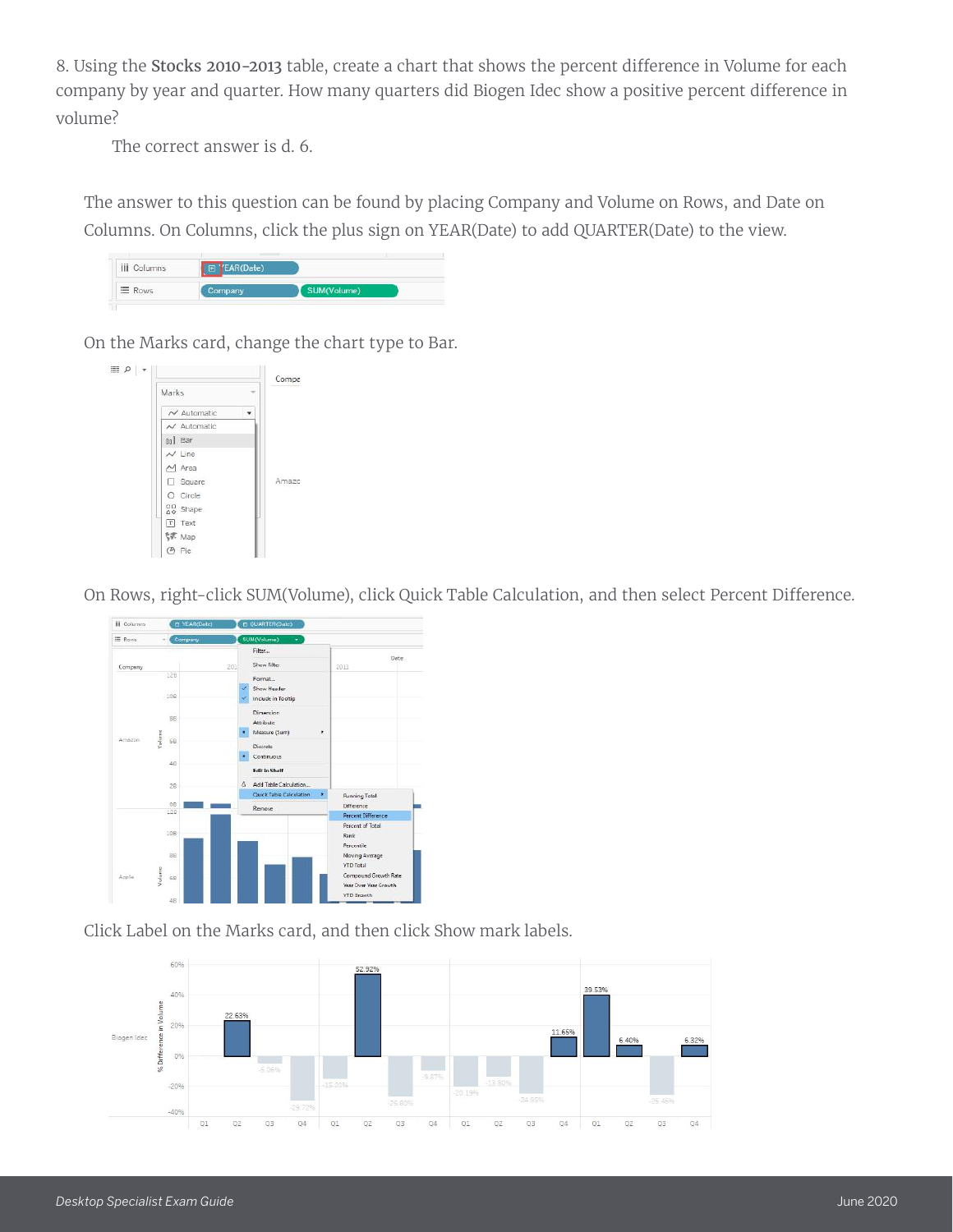8. Using the Stocks 2010-2013 table, create a chart that shows the percent difference in Volume for each company by year and quarter. How many quarters did Biogen Idec show a positive percent difference in volume?

The correct answer is d. 6.

The answer to this question can be found by placing Company and Volume on Rows, and Date on Columns. On Columns, click the plus sign on YEAR(Date) to add QUARTER(Date) to the view.

| <b>iii</b> Columns<br>. | CAD/D <sub>0</sub><br><b>ABY</b> |          |  |
|-------------------------|----------------------------------|----------|--|
| E Rows                  |                                  | (Volume) |  |

On the Marks card, change the chart type to Bar.



On Rows, right-click SUM(Volume), click Quick Table Calculation, and then select Percent Difference.



Click Label on the Marks card, and then click Show mark labels.

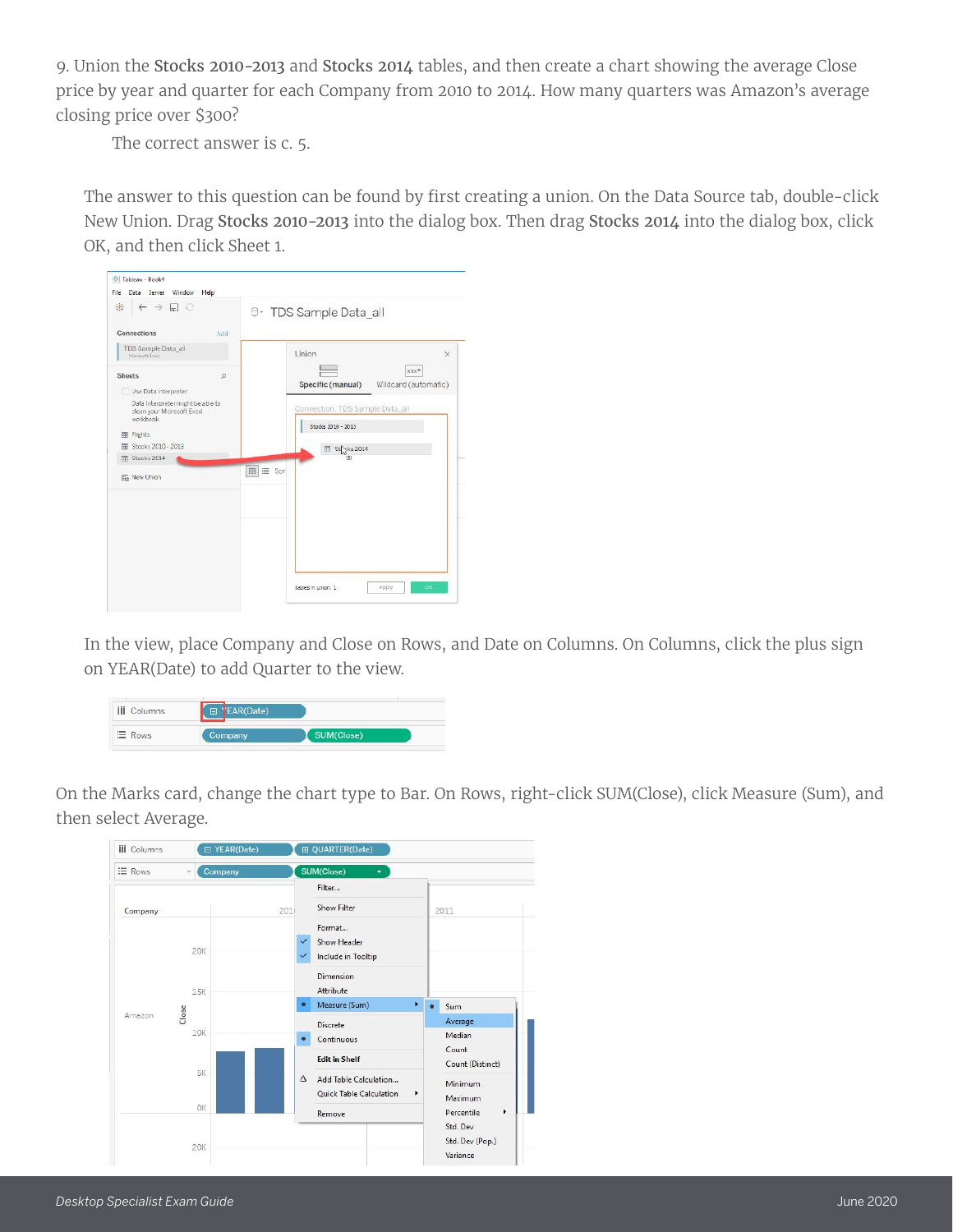9. Union the Stocks 2010-2013 and Stocks 2014 tables, and then create a chart showing the average Close price by year and quarter for each Company from 2010 to 2014. How many quarters was Amazon's average closing price over \$300?

The correct answer is c. 5.

The answer to this question can be found by first creating a union. On the Data Source tab, double-click New Union. Drag Stocks 2010-2013 into the dialog box. Then drag Stocks 2014 into the dialog box, click OK, and then click Sheet 1.

| *<br>$\leftarrow$ $\rightarrow$ $\Box$ $\odot$                                                                                                                                                           | <b>B</b> TDS Sample Data_all                                                                                                                                     |
|----------------------------------------------------------------------------------------------------------------------------------------------------------------------------------------------------------|------------------------------------------------------------------------------------------------------------------------------------------------------------------|
| Connections<br>Add<br>TDS Sample Data all<br>Moresch Excut                                                                                                                                               | Union<br>$\times$                                                                                                                                                |
| <b>Sheets</b><br>$\circ$<br>Use Data Interpreter<br>Data Interpreter might be able to<br>clean your Microsoft Excel<br>workbook.<br>田 Fights<br>图 Stocks 2010 - 2013<br>Fili Stocks 2014<br>En New Union | xxx*<br>Specific (manual) Wildcard (automatic)<br>Connection: TDS Sample Data_all<br>Stocks 2010 - 2013<br>El St <sub>.,3</sub> ks 2014<br>[3]<br>$m \equiv$ Son |
|                                                                                                                                                                                                          | <b>OK</b><br>Apply<br>Tables in union: 1                                                                                                                         |

In the view, place Company and Close on Rows, and Date on Columns. On Columns, click the plus sign on YEAR(Date) to add Quarter to the view.



On the Marks card, change the chart type to Bar. On Rows, right-click SUM(Close), click Measure (Sum), and then select Average.

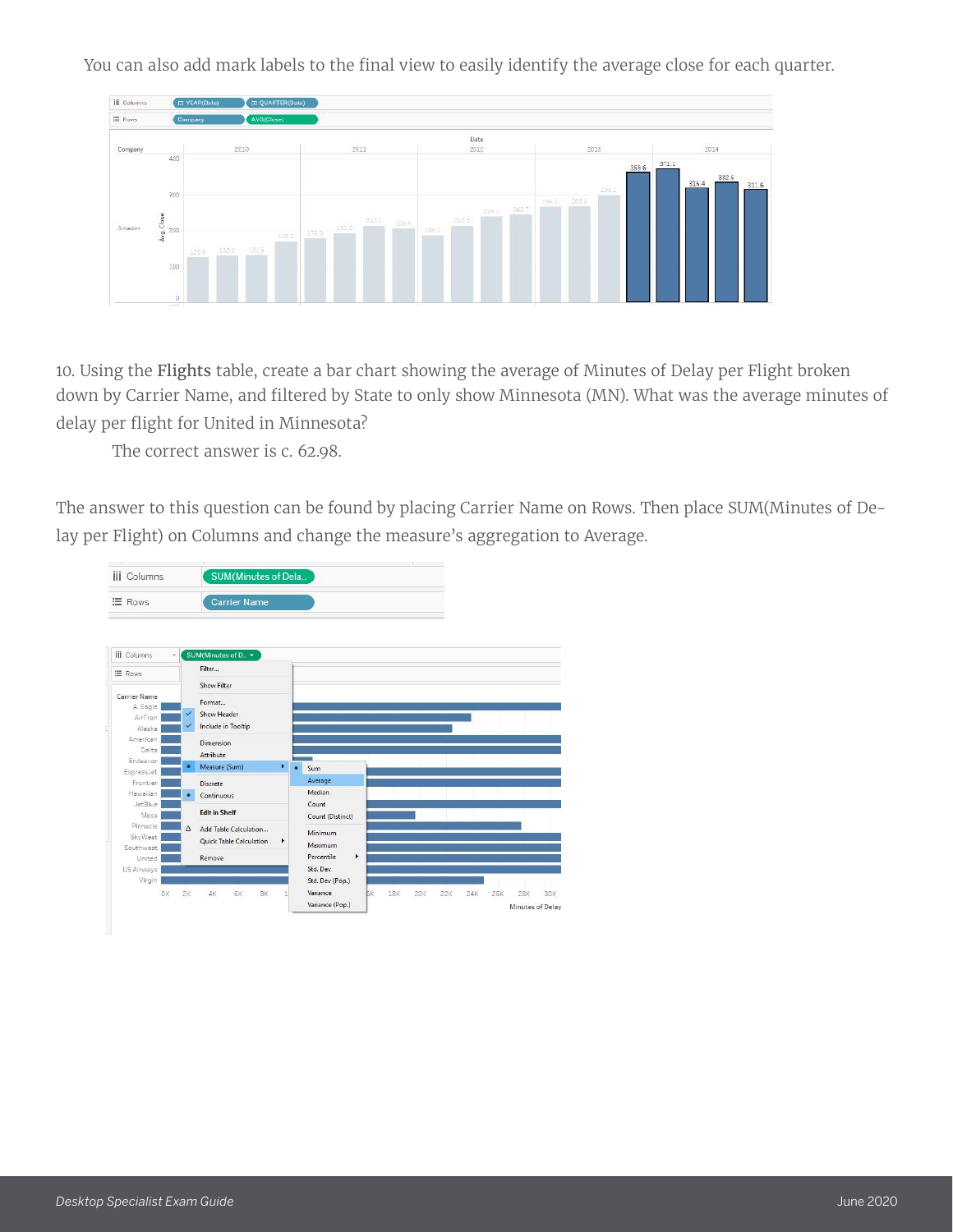You can also add mark labels to the final view to easily identify the average close for each quarter.



10. Using the Flights table, create a bar chart showing the average of Minutes of Delay per Flight broken down by Carrier Name, and filtered by State to only show Minnesota (MN). What was the average minutes of delay per flight for United in Minnesota?

The correct answer is c. 62.98.

The answer to this question can be found by placing Carrier Name on Rows. Then place SUM(Minutes of Delay per Flight) on Columns and change the measure's aggregation to Average.